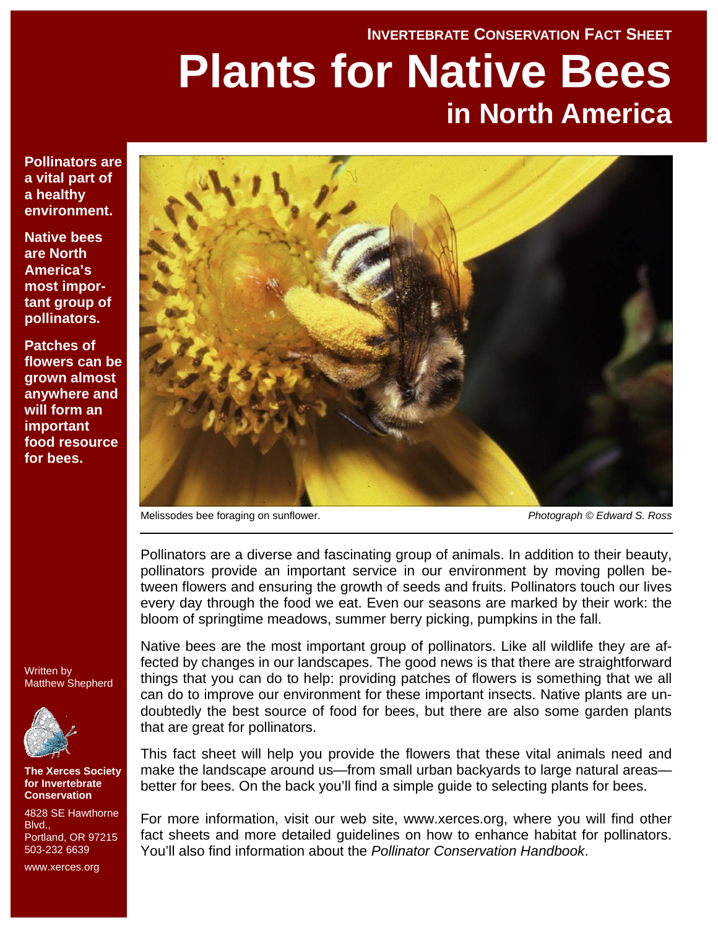#### **INVERTEBRATE CONSERVATION FACT SHEET**

# **Plants for Native Bees in North America**

**Pollinators are a vital part of a healthy environment.** 

**Native bees are North America's most important group of pollinators.** 

**Patches of flowers can be grown almost anywhere and will form an important food resource for bees.** 



Melissodes bee foraging on sunflower.

*Photograph © Edward S. Ross*

Pollinators are a diverse and fascinating group of animals. In addition to their beauty, pollinators provide an important service in our environment by moving pollen between flowers and ensuring the growth of seeds and fruits. Pollinators touch our lives every day through the food we eat. Even our seasons are marked by their work: the bloom of springtime meadows, summer berry picking, pumpkins in the fall.

Written by Matthew Shepherd



**The Xerces Society for Invertebrate Conservation** 

4828 SE Hawthorne **Blvd.** Portland, OR 97215 503-232 6639

www.xerces.org

Native bees are the most important group of pollinators. Like all wildlife they are affected by changes in our landscapes. The good news is that there are straightforward things that you can do to help: providing patches of flowers is something that we all can do to improve our environment for these important insects. Native plants are undoubtedly the best source of food for bees, but there are also some garden plants that are great for pollinators.

This fact sheet will help you provide the flowers that these vital animals need and make the landscape around us—from small urban backyards to large natural areas better for bees. On the back you'll find a simple guide to selecting plants for bees.

For more information, visit our web site, www.xerces.org, where you will find other fact sheets and more detailed guidelines on how to enhance habitat for pollinators. You'll also find information about the *Pollinator Conservation Handbook*.